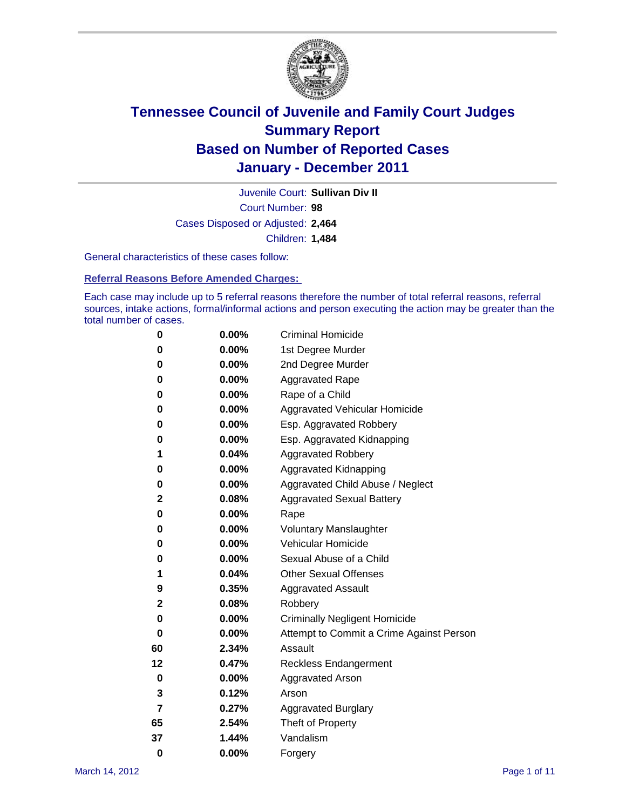

Court Number: **98** Juvenile Court: **Sullivan Div II** Cases Disposed or Adjusted: **2,464** Children: **1,484**

General characteristics of these cases follow:

**Referral Reasons Before Amended Charges:** 

Each case may include up to 5 referral reasons therefore the number of total referral reasons, referral sources, intake actions, formal/informal actions and person executing the action may be greater than the total number of cases.

| 0  | 0.00% | <b>Criminal Homicide</b>                 |
|----|-------|------------------------------------------|
| 0  | 0.00% | 1st Degree Murder                        |
| 0  | 0.00% | 2nd Degree Murder                        |
| 0  | 0.00% | <b>Aggravated Rape</b>                   |
| 0  | 0.00% | Rape of a Child                          |
| 0  | 0.00% | Aggravated Vehicular Homicide            |
| 0  | 0.00% | Esp. Aggravated Robbery                  |
| 0  | 0.00% | Esp. Aggravated Kidnapping               |
| 1  | 0.04% | <b>Aggravated Robbery</b>                |
| 0  | 0.00% | Aggravated Kidnapping                    |
| 0  | 0.00% | Aggravated Child Abuse / Neglect         |
| 2  | 0.08% | <b>Aggravated Sexual Battery</b>         |
| 0  | 0.00% | Rape                                     |
| 0  | 0.00% | <b>Voluntary Manslaughter</b>            |
| 0  | 0.00% | Vehicular Homicide                       |
| 0  | 0.00% | Sexual Abuse of a Child                  |
| 1  | 0.04% | <b>Other Sexual Offenses</b>             |
| 9  | 0.35% | <b>Aggravated Assault</b>                |
| 2  | 0.08% | Robbery                                  |
| 0  | 0.00% | <b>Criminally Negligent Homicide</b>     |
| 0  | 0.00% | Attempt to Commit a Crime Against Person |
| 60 | 2.34% | Assault                                  |
| 12 | 0.47% | <b>Reckless Endangerment</b>             |
| 0  | 0.00% | <b>Aggravated Arson</b>                  |
| 3  | 0.12% | Arson                                    |
| 7  | 0.27% | <b>Aggravated Burglary</b>               |
| 65 | 2.54% | Theft of Property                        |
| 37 | 1.44% | Vandalism                                |
| 0  | 0.00% | Forgery                                  |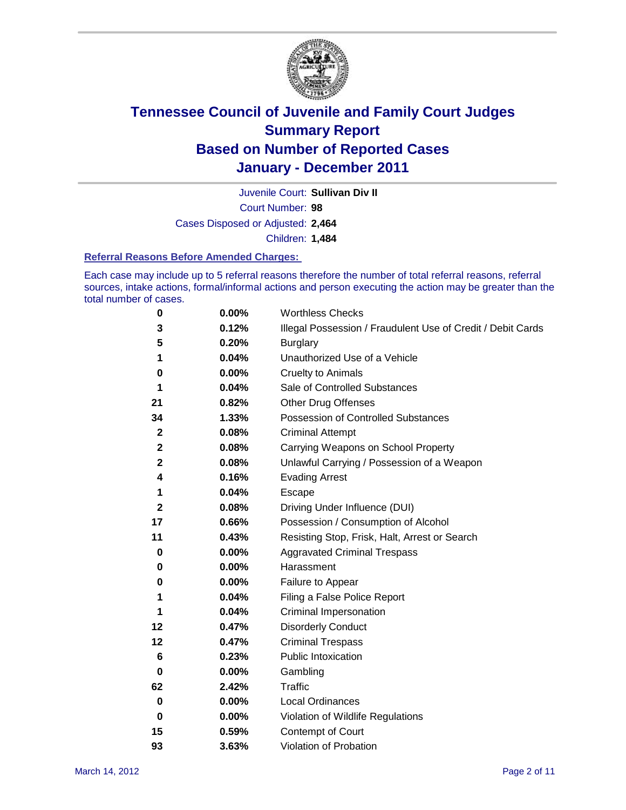

Court Number: **98** Juvenile Court: **Sullivan Div II**

Cases Disposed or Adjusted: **2,464**

Children: **1,484**

#### **Referral Reasons Before Amended Charges:**

Each case may include up to 5 referral reasons therefore the number of total referral reasons, referral sources, intake actions, formal/informal actions and person executing the action may be greater than the total number of cases.

| 0           | 0.00% | <b>Worthless Checks</b>                                     |
|-------------|-------|-------------------------------------------------------------|
| 3           | 0.12% | Illegal Possession / Fraudulent Use of Credit / Debit Cards |
| 5           | 0.20% | <b>Burglary</b>                                             |
| 1           | 0.04% | Unauthorized Use of a Vehicle                               |
| 0           | 0.00% | <b>Cruelty to Animals</b>                                   |
| 1           | 0.04% | Sale of Controlled Substances                               |
| 21          | 0.82% | <b>Other Drug Offenses</b>                                  |
| 34          | 1.33% | Possession of Controlled Substances                         |
| $\mathbf 2$ | 0.08% | <b>Criminal Attempt</b>                                     |
| 2           | 0.08% | Carrying Weapons on School Property                         |
| 2           | 0.08% | Unlawful Carrying / Possession of a Weapon                  |
| 4           | 0.16% | <b>Evading Arrest</b>                                       |
| 1           | 0.04% | Escape                                                      |
| 2           | 0.08% | Driving Under Influence (DUI)                               |
| 17          | 0.66% | Possession / Consumption of Alcohol                         |
| 11          | 0.43% | Resisting Stop, Frisk, Halt, Arrest or Search               |
| 0           | 0.00% | <b>Aggravated Criminal Trespass</b>                         |
| 0           | 0.00% | Harassment                                                  |
| 0           | 0.00% | Failure to Appear                                           |
| 1           | 0.04% | Filing a False Police Report                                |
| 1           | 0.04% | Criminal Impersonation                                      |
| 12          | 0.47% | <b>Disorderly Conduct</b>                                   |
| 12          | 0.47% | <b>Criminal Trespass</b>                                    |
| 6           | 0.23% | <b>Public Intoxication</b>                                  |
| 0           | 0.00% | Gambling                                                    |
| 62          | 2.42% | Traffic                                                     |
| 0           | 0.00% | <b>Local Ordinances</b>                                     |
| 0           | 0.00% | Violation of Wildlife Regulations                           |
| 15          | 0.59% | Contempt of Court                                           |
| 93          | 3.63% | Violation of Probation                                      |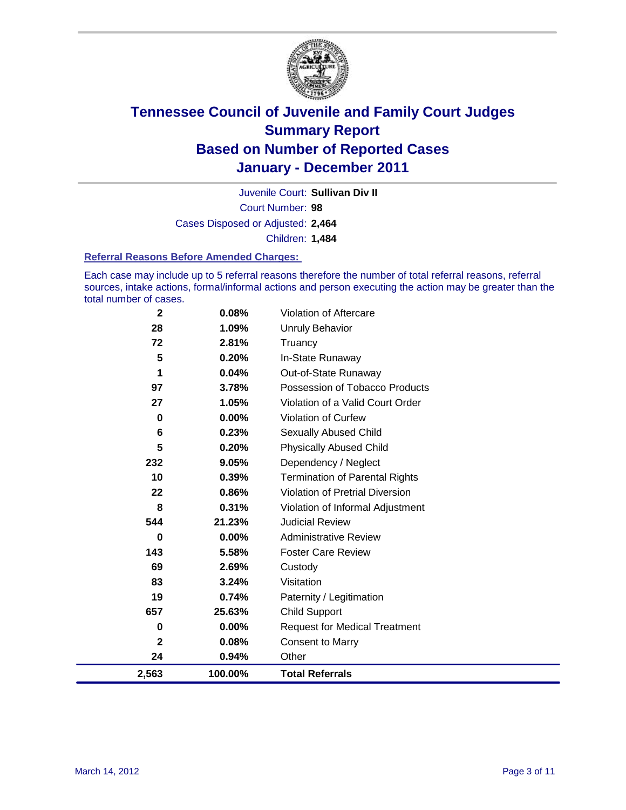

Court Number: **98** Juvenile Court: **Sullivan Div II** Cases Disposed or Adjusted: **2,464** Children: **1,484**

#### **Referral Reasons Before Amended Charges:**

Each case may include up to 5 referral reasons therefore the number of total referral reasons, referral sources, intake actions, formal/informal actions and person executing the action may be greater than the total number of cases.

| $\mathbf{2}$ | 0.08%   | Violation of Aftercare                 |
|--------------|---------|----------------------------------------|
| 28           | 1.09%   | <b>Unruly Behavior</b>                 |
| 72           | 2.81%   | Truancy                                |
| 5            | 0.20%   | In-State Runaway                       |
| 1            | 0.04%   | Out-of-State Runaway                   |
| 97           | 3.78%   | Possession of Tobacco Products         |
| 27           | 1.05%   | Violation of a Valid Court Order       |
| $\mathbf 0$  | 0.00%   | <b>Violation of Curfew</b>             |
| 6            | 0.23%   | <b>Sexually Abused Child</b>           |
| 5            | 0.20%   | <b>Physically Abused Child</b>         |
| 232          | 9.05%   | Dependency / Neglect                   |
| 10           | 0.39%   | <b>Termination of Parental Rights</b>  |
| 22           | 0.86%   | <b>Violation of Pretrial Diversion</b> |
| 8            | 0.31%   | Violation of Informal Adjustment       |
| 544          | 21.23%  | <b>Judicial Review</b>                 |
| 0            | 0.00%   | <b>Administrative Review</b>           |
| 143          | 5.58%   | <b>Foster Care Review</b>              |
| 69           | 2.69%   | Custody                                |
| 83           | 3.24%   | Visitation                             |
| 19           | 0.74%   | Paternity / Legitimation               |
| 657          | 25.63%  | <b>Child Support</b>                   |
| 0            | 0.00%   | <b>Request for Medical Treatment</b>   |
| $\mathbf 2$  | 0.08%   | <b>Consent to Marry</b>                |
| 24           | 0.94%   | Other                                  |
| 2,563        | 100.00% | <b>Total Referrals</b>                 |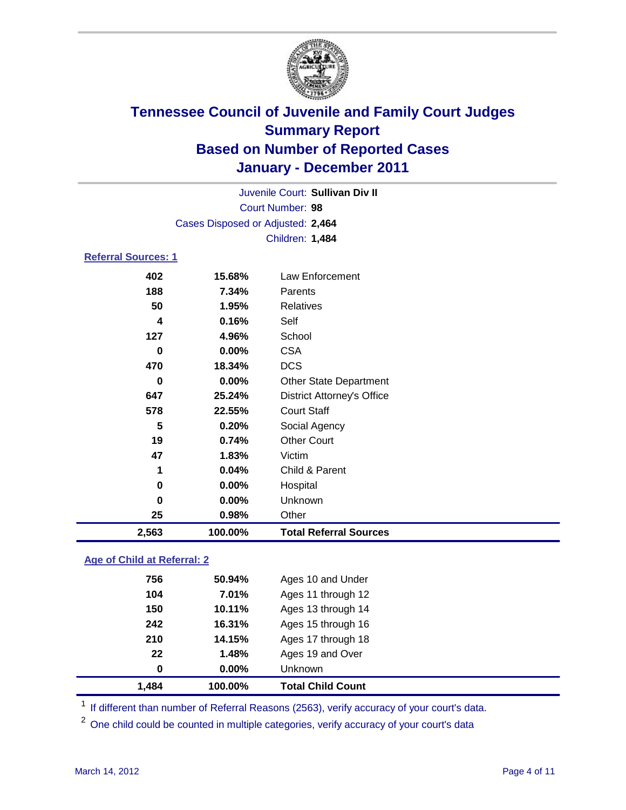

| Juvenile Court: Sullivan Div II |                                   |                                   |  |  |
|---------------------------------|-----------------------------------|-----------------------------------|--|--|
| Court Number: 98                |                                   |                                   |  |  |
|                                 | Cases Disposed or Adjusted: 2,464 |                                   |  |  |
|                                 |                                   | Children: 1,484                   |  |  |
| <b>Referral Sources: 1</b>      |                                   |                                   |  |  |
| 402                             | 15.68%                            | Law Enforcement                   |  |  |
| 188                             | 7.34%                             | Parents                           |  |  |
| 50                              | 1.95%                             | <b>Relatives</b>                  |  |  |
| 4                               | 0.16%                             | Self                              |  |  |
| 127                             | 4.96%                             | School                            |  |  |
| 0                               | 0.00%                             | <b>CSA</b>                        |  |  |
| 470                             | 18.34%                            | <b>DCS</b>                        |  |  |
| 0                               | 0.00%                             | <b>Other State Department</b>     |  |  |
| 647                             | 25.24%                            | <b>District Attorney's Office</b> |  |  |
| 578                             | 22.55%                            | <b>Court Staff</b>                |  |  |
| 5                               | 0.20%                             | Social Agency                     |  |  |
| 19                              | 0.74%                             | <b>Other Court</b>                |  |  |
| 47                              | 1.83%                             | Victim                            |  |  |
| 1                               | 0.04%                             | Child & Parent                    |  |  |
| 0                               | $0.00\%$                          | Hospital                          |  |  |
| 0                               | 0.00%                             | Unknown                           |  |  |
| 25                              | 0.98%                             | Other                             |  |  |

### **Age of Child at Referral: 2**

| 1,484 | 100.00%  | <b>Total Child Count</b> |
|-------|----------|--------------------------|
| 0     | $0.00\%$ | <b>Unknown</b>           |
| 22    | 1.48%    | Ages 19 and Over         |
| 210   | 14.15%   | Ages 17 through 18       |
| 242   | 16.31%   | Ages 15 through 16       |
| 150   | 10.11%   | Ages 13 through 14       |
| 104   | 7.01%    | Ages 11 through 12       |
| 756   | 50.94%   | Ages 10 and Under        |
|       |          |                          |

<sup>1</sup> If different than number of Referral Reasons (2563), verify accuracy of your court's data.

<sup>2</sup> One child could be counted in multiple categories, verify accuracy of your court's data

**2,563 100.00% Total Referral Sources**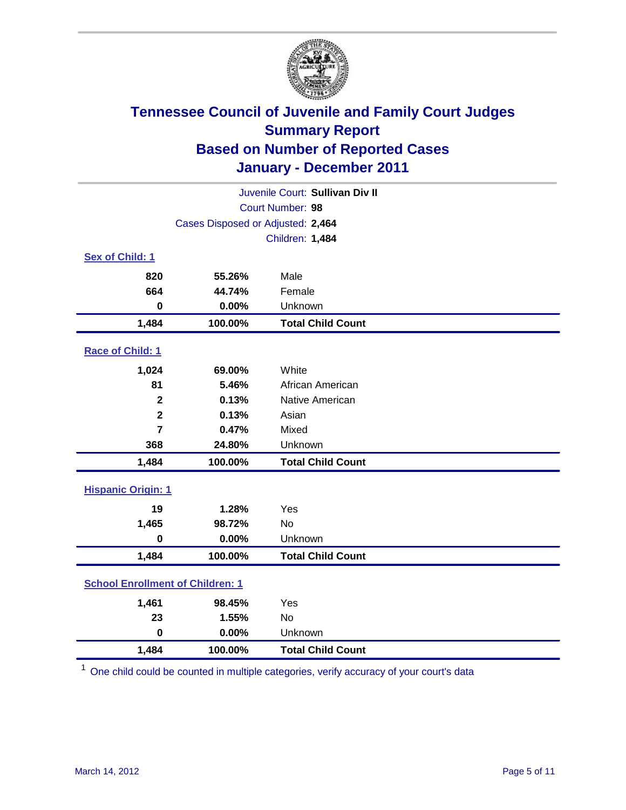

| Juvenile Court: Sullivan Div II         |                                   |                          |  |  |  |
|-----------------------------------------|-----------------------------------|--------------------------|--|--|--|
|                                         | <b>Court Number: 98</b>           |                          |  |  |  |
|                                         | Cases Disposed or Adjusted: 2,464 |                          |  |  |  |
|                                         |                                   | Children: 1,484          |  |  |  |
| Sex of Child: 1                         |                                   |                          |  |  |  |
| 820                                     | 55.26%                            | Male                     |  |  |  |
| 664                                     | 44.74%                            | Female                   |  |  |  |
| $\mathbf 0$                             | 0.00%                             | Unknown                  |  |  |  |
| 1,484                                   | 100.00%                           | <b>Total Child Count</b> |  |  |  |
| Race of Child: 1                        |                                   |                          |  |  |  |
| 1,024                                   | 69.00%                            | White                    |  |  |  |
| 81                                      | 5.46%                             | African American         |  |  |  |
| $\overline{\mathbf{2}}$                 | 0.13%                             | Native American          |  |  |  |
| $\overline{2}$                          | 0.13%                             | Asian                    |  |  |  |
| $\overline{7}$                          | 0.47%                             | Mixed                    |  |  |  |
| 368                                     | 24.80%                            | Unknown                  |  |  |  |
| 1,484                                   | 100.00%                           | <b>Total Child Count</b> |  |  |  |
| <b>Hispanic Origin: 1</b>               |                                   |                          |  |  |  |
| 19                                      | 1.28%                             | Yes                      |  |  |  |
| 1,465                                   | 98.72%                            | <b>No</b>                |  |  |  |
| $\mathbf 0$                             | 0.00%                             | Unknown                  |  |  |  |
| 1,484                                   | 100.00%                           | <b>Total Child Count</b> |  |  |  |
| <b>School Enrollment of Children: 1</b> |                                   |                          |  |  |  |
| 1,461                                   | 98.45%                            | Yes                      |  |  |  |
| 23                                      | 1.55%                             | No                       |  |  |  |
| $\mathbf 0$                             | 0.00%                             | Unknown                  |  |  |  |
| 1,484                                   | 100.00%                           | <b>Total Child Count</b> |  |  |  |

<sup>1</sup> One child could be counted in multiple categories, verify accuracy of your court's data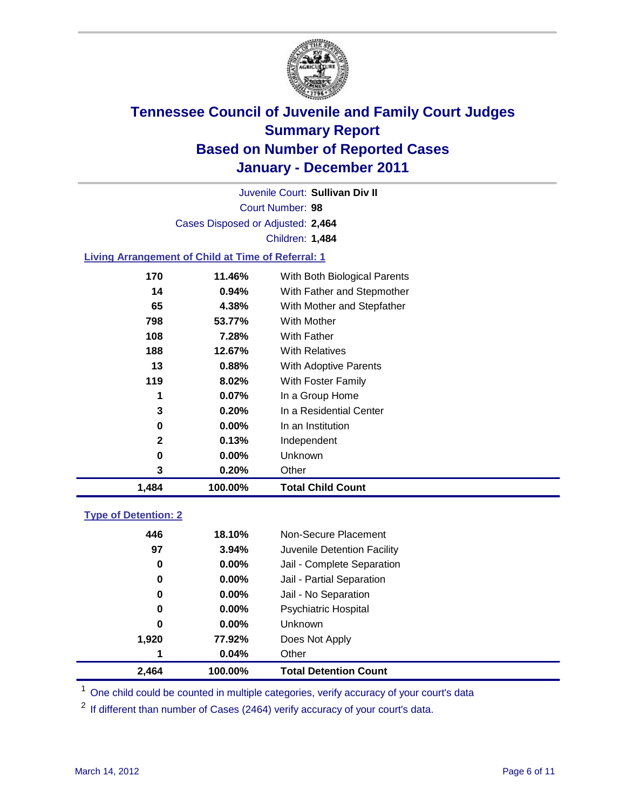

Court Number: **98** Juvenile Court: **Sullivan Div II** Cases Disposed or Adjusted: **2,464** Children: **1,484**

### **Living Arrangement of Child at Time of Referral: 1**

| 1,484        | 100.00%  | <b>Total Child Count</b>     |  |
|--------------|----------|------------------------------|--|
| 3            | 0.20%    | Other                        |  |
| 0            | $0.00\%$ | <b>Unknown</b>               |  |
| $\mathbf{2}$ | 0.13%    | Independent                  |  |
| 0            | $0.00\%$ | In an Institution            |  |
| 3            | 0.20%    | In a Residential Center      |  |
| 1            | $0.07\%$ | In a Group Home              |  |
| 119          | 8.02%    | With Foster Family           |  |
| 13           | 0.88%    | With Adoptive Parents        |  |
| 188          | 12.67%   | <b>With Relatives</b>        |  |
| 108          | 7.28%    | With Father                  |  |
| 798          | 53.77%   | With Mother                  |  |
| 65           | 4.38%    | With Mother and Stepfather   |  |
| 14           | 0.94%    | With Father and Stepmother   |  |
| 170          | 11.46%   | With Both Biological Parents |  |
|              |          |                              |  |

### **Type of Detention: 2**

| 2,464 | 100.00%  | <b>Total Detention Count</b> |  |
|-------|----------|------------------------------|--|
| 1     | 0.04%    | Other                        |  |
| 1,920 | 77.92%   | Does Not Apply               |  |
| 0     | $0.00\%$ | Unknown                      |  |
| 0     | $0.00\%$ | <b>Psychiatric Hospital</b>  |  |
| 0     | 0.00%    | Jail - No Separation         |  |
| 0     | $0.00\%$ | Jail - Partial Separation    |  |
| 0     | 0.00%    | Jail - Complete Separation   |  |
| 97    | 3.94%    | Juvenile Detention Facility  |  |
| 446   | 18.10%   | Non-Secure Placement         |  |
|       |          |                              |  |

<sup>1</sup> One child could be counted in multiple categories, verify accuracy of your court's data

<sup>2</sup> If different than number of Cases (2464) verify accuracy of your court's data.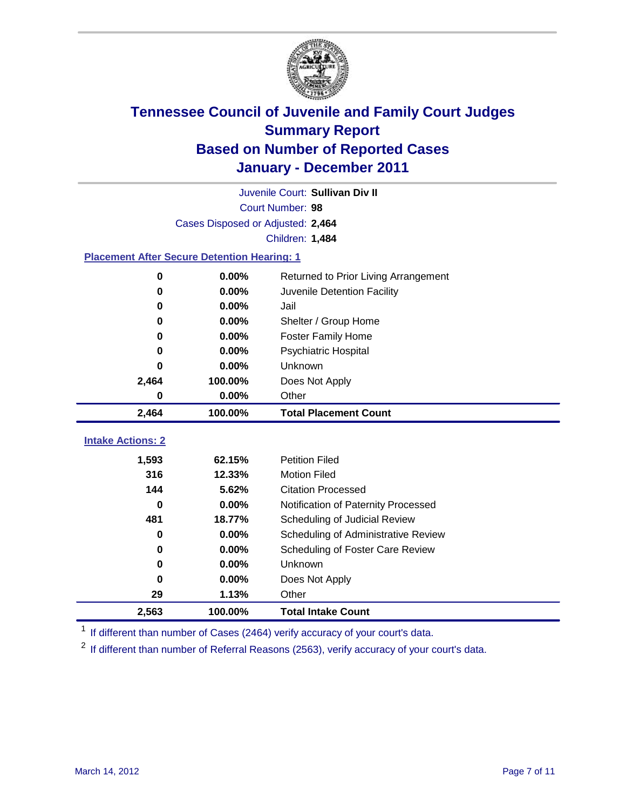

|                                                    | Juvenile Court: Sullivan Div II   |                                                                      |  |  |
|----------------------------------------------------|-----------------------------------|----------------------------------------------------------------------|--|--|
|                                                    | Court Number: 98                  |                                                                      |  |  |
|                                                    | Cases Disposed or Adjusted: 2,464 |                                                                      |  |  |
|                                                    |                                   | <b>Children: 1,484</b>                                               |  |  |
| <b>Placement After Secure Detention Hearing: 1</b> |                                   |                                                                      |  |  |
| 0                                                  | 0.00%                             | Returned to Prior Living Arrangement                                 |  |  |
| 0                                                  | 0.00%                             | Juvenile Detention Facility                                          |  |  |
| 0                                                  | 0.00%                             | Jail                                                                 |  |  |
| 0                                                  | 0.00%                             | Shelter / Group Home                                                 |  |  |
| 0                                                  | 0.00%                             | <b>Foster Family Home</b>                                            |  |  |
| 0                                                  | 0.00%                             | Psychiatric Hospital                                                 |  |  |
| Ω                                                  | 0.00%                             | Unknown                                                              |  |  |
| 2,464                                              | 100.00%                           | Does Not Apply                                                       |  |  |
| 0                                                  | 0.00%                             | Other                                                                |  |  |
| 2,464                                              | 100.00%                           | <b>Total Placement Count</b>                                         |  |  |
| <b>Intake Actions: 2</b>                           |                                   |                                                                      |  |  |
|                                                    |                                   | <b>Petition Filed</b>                                                |  |  |
| 1,593<br>316                                       | 62.15%<br>12.33%                  | <b>Motion Filed</b>                                                  |  |  |
| 144                                                | 5.62%                             | <b>Citation Processed</b>                                            |  |  |
| $\bf{0}$                                           | 0.00%                             |                                                                      |  |  |
| 481                                                | 18.77%                            | Notification of Paternity Processed<br>Scheduling of Judicial Review |  |  |
| 0                                                  | 0.00%                             | Scheduling of Administrative Review                                  |  |  |
| 0                                                  | $0.00\%$                          | Scheduling of Foster Care Review                                     |  |  |
| 0                                                  | 0.00%                             | Unknown                                                              |  |  |
| 0                                                  | 0.00%                             | Does Not Apply                                                       |  |  |
| 29                                                 | 1.13%                             | Other                                                                |  |  |
|                                                    |                                   |                                                                      |  |  |
| 2,563                                              | 100.00%                           | <b>Total Intake Count</b>                                            |  |  |

<sup>1</sup> If different than number of Cases (2464) verify accuracy of your court's data.

<sup>2</sup> If different than number of Referral Reasons (2563), verify accuracy of your court's data.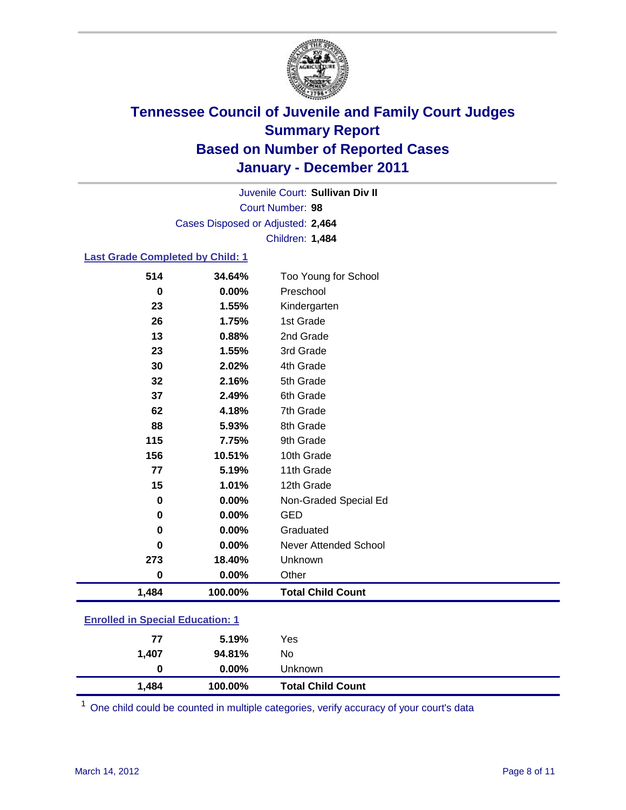

Court Number: **98** Juvenile Court: **Sullivan Div II** Cases Disposed or Adjusted: **2,464** Children: **1,484**

### **Last Grade Completed by Child: 1**

| 514                                     | 34.64%   | Too Young for School         |  |
|-----------------------------------------|----------|------------------------------|--|
| 0                                       | 0.00%    | Preschool                    |  |
| 23                                      | 1.55%    | Kindergarten                 |  |
| 26                                      | 1.75%    | 1st Grade                    |  |
| 13                                      | 0.88%    | 2nd Grade                    |  |
| 23                                      | 1.55%    | 3rd Grade                    |  |
| 30                                      | 2.02%    | 4th Grade                    |  |
| 32                                      | 2.16%    | 5th Grade                    |  |
| 37                                      | 2.49%    | 6th Grade                    |  |
| 62                                      | 4.18%    | 7th Grade                    |  |
| 88                                      | 5.93%    | 8th Grade                    |  |
| 115                                     | 7.75%    | 9th Grade                    |  |
| 156                                     | 10.51%   | 10th Grade                   |  |
| 77                                      | 5.19%    | 11th Grade                   |  |
| 15                                      | 1.01%    | 12th Grade                   |  |
| $\bf{0}$                                | $0.00\%$ | Non-Graded Special Ed        |  |
| 0                                       | 0.00%    | <b>GED</b>                   |  |
| 0                                       | $0.00\%$ | Graduated                    |  |
| 0                                       | 0.00%    | <b>Never Attended School</b> |  |
| 273                                     | 18.40%   | Unknown                      |  |
| $\mathbf 0$                             | 0.00%    | Other                        |  |
| 1,484                                   | 100.00%  | <b>Total Child Count</b>     |  |
| <b>Enrolled in Special Education: 1</b> |          |                              |  |
|                                         |          |                              |  |

| 1,484 | 100.00%       | <b>Total Child Count</b> |
|-------|---------------|--------------------------|
|       | $0.00\%$<br>0 | Unknown                  |
| 1.407 | 94.81%        | No                       |
| 77    | 5.19%         | Yes                      |
|       |               |                          |

One child could be counted in multiple categories, verify accuracy of your court's data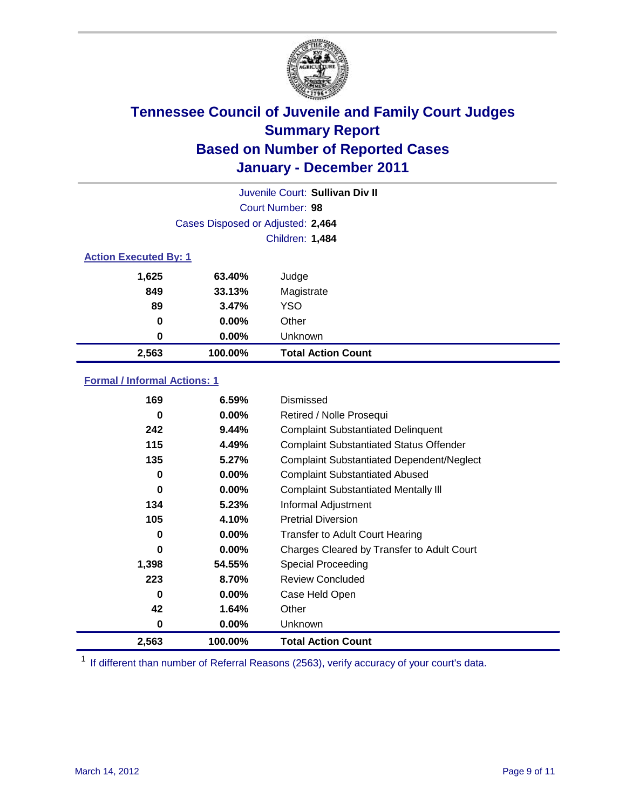

|                              | Juvenile Court: Sullivan Div II   |                           |  |  |
|------------------------------|-----------------------------------|---------------------------|--|--|
| Court Number: 98             |                                   |                           |  |  |
|                              | Cases Disposed or Adjusted: 2,464 |                           |  |  |
|                              | Children: 1,484                   |                           |  |  |
| <b>Action Executed By: 1</b> |                                   |                           |  |  |
| 1,625                        | 63.40%                            | Judge                     |  |  |
| 849                          | 33.13%                            | Magistrate                |  |  |
| 89                           | 3.47%                             | <b>YSO</b>                |  |  |
| 0                            | $0.00\%$                          | Other                     |  |  |
| 0                            | $0.00\%$                          | Unknown                   |  |  |
| 2,563                        | 100.00%                           | <b>Total Action Count</b> |  |  |

### **Formal / Informal Actions: 1**

| 169      | 6.59%    | Dismissed                                        |
|----------|----------|--------------------------------------------------|
| 0        | $0.00\%$ | Retired / Nolle Prosequi                         |
| 242      | 9.44%    | <b>Complaint Substantiated Delinquent</b>        |
| 115      | 4.49%    | <b>Complaint Substantiated Status Offender</b>   |
| 135      | 5.27%    | <b>Complaint Substantiated Dependent/Neglect</b> |
| 0        | $0.00\%$ | <b>Complaint Substantiated Abused</b>            |
| 0        | $0.00\%$ | <b>Complaint Substantiated Mentally III</b>      |
| 134      | 5.23%    | Informal Adjustment                              |
| 105      | 4.10%    | <b>Pretrial Diversion</b>                        |
| 0        | $0.00\%$ | <b>Transfer to Adult Court Hearing</b>           |
| 0        | $0.00\%$ | Charges Cleared by Transfer to Adult Court       |
| 1,398    | 54.55%   | <b>Special Proceeding</b>                        |
| 223      | 8.70%    | <b>Review Concluded</b>                          |
| $\bf{0}$ | $0.00\%$ | Case Held Open                                   |
| 42       | 1.64%    | Other                                            |
| 0        | $0.00\%$ | <b>Unknown</b>                                   |
| 2,563    | 100.00%  | <b>Total Action Count</b>                        |

<sup>1</sup> If different than number of Referral Reasons (2563), verify accuracy of your court's data.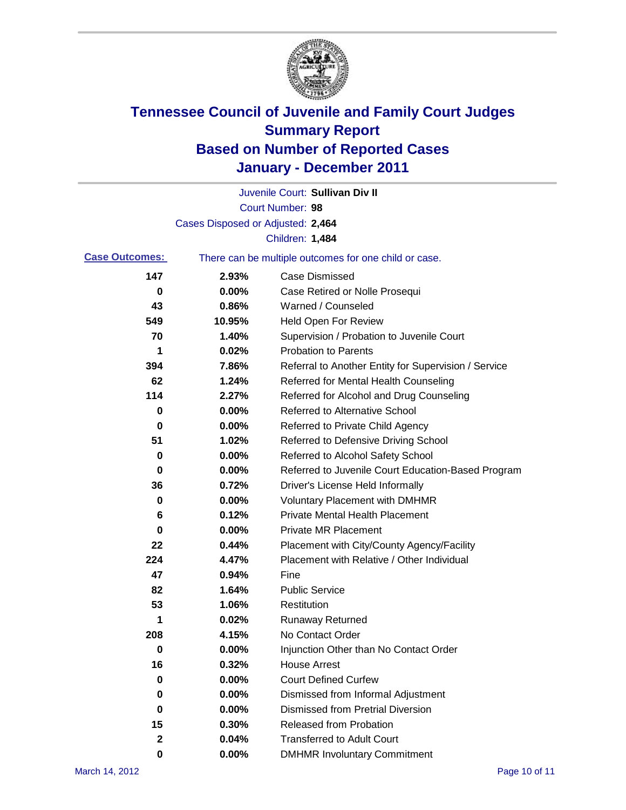

|                       |                                   | Juvenile Court: Sullivan Div II                       |
|-----------------------|-----------------------------------|-------------------------------------------------------|
|                       |                                   | Court Number: 98                                      |
|                       | Cases Disposed or Adjusted: 2,464 |                                                       |
|                       |                                   | Children: 1,484                                       |
| <b>Case Outcomes:</b> |                                   | There can be multiple outcomes for one child or case. |
| 147                   | 2.93%                             | <b>Case Dismissed</b>                                 |
| 0                     | 0.00%                             | Case Retired or Nolle Prosequi                        |
| 43                    | 0.86%                             | Warned / Counseled                                    |
| 549                   | 10.95%                            | <b>Held Open For Review</b>                           |
| 70                    | 1.40%                             | Supervision / Probation to Juvenile Court             |
| 1                     | 0.02%                             | <b>Probation to Parents</b>                           |
| 394                   | 7.86%                             | Referral to Another Entity for Supervision / Service  |
| 62                    | 1.24%                             | Referred for Mental Health Counseling                 |
| 114                   | 2.27%                             | Referred for Alcohol and Drug Counseling              |
| 0                     | 0.00%                             | <b>Referred to Alternative School</b>                 |
| 0                     | 0.00%                             | Referred to Private Child Agency                      |
| 51                    | 1.02%                             | Referred to Defensive Driving School                  |
| 0                     | 0.00%                             | Referred to Alcohol Safety School                     |
| 0                     | 0.00%                             | Referred to Juvenile Court Education-Based Program    |
| 36                    | 0.72%                             | Driver's License Held Informally                      |
| 0                     | 0.00%                             | <b>Voluntary Placement with DMHMR</b>                 |
| 6                     | 0.12%                             | <b>Private Mental Health Placement</b>                |
| 0                     | 0.00%                             | <b>Private MR Placement</b>                           |
| 22                    | 0.44%                             | Placement with City/County Agency/Facility            |
| 224                   | 4.47%                             | Placement with Relative / Other Individual            |
| 47                    | 0.94%                             | Fine                                                  |
| 82                    | 1.64%                             | <b>Public Service</b>                                 |
| 53                    | 1.06%                             | Restitution                                           |
| 1                     | 0.02%                             | <b>Runaway Returned</b>                               |
| 208                   | 4.15%                             | No Contact Order                                      |
| $\bf{0}$              | 0.00%                             | Injunction Other than No Contact Order                |
| 16                    | 0.32%                             | <b>House Arrest</b>                                   |
| 0                     | 0.00%                             | <b>Court Defined Curfew</b>                           |
| 0                     | 0.00%                             | Dismissed from Informal Adjustment                    |
| 0                     | 0.00%                             | <b>Dismissed from Pretrial Diversion</b>              |
| 15                    | 0.30%                             | <b>Released from Probation</b>                        |
| 2                     | 0.04%                             | <b>Transferred to Adult Court</b>                     |
| 0                     | $0.00\%$                          | <b>DMHMR Involuntary Commitment</b>                   |